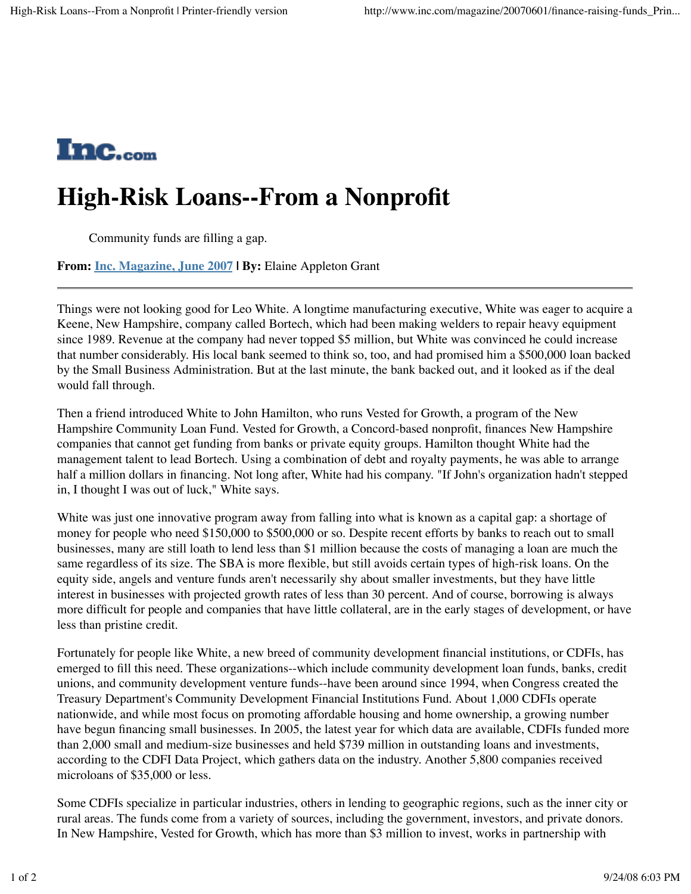

## **High-Risk Loans--From a Nonprofit**

Community funds are filling a gap.

**From: Inc. Magazine, June 2007 | By:** Elaine Appleton Grant

Things were not looking good for Leo White. A longtime manufacturing executive, White was eager to acquire a Keene, New Hampshire, company called Bortech, which had been making welders to repair heavy equipment since 1989. Revenue at the company had never topped \$5 million, but White was convinced he could increase that number considerably. His local bank seemed to think so, too, and had promised him a \$500,000 loan backed by the Small Business Administration. But at the last minute, the bank backed out, and it looked as if the deal would fall through.

Then a friend introduced White to John Hamilton, who runs Vested for Growth, a program of the New Hampshire Community Loan Fund. Vested for Growth, a Concord-based nonprofit, finances New Hampshire companies that cannot get funding from banks or private equity groups. Hamilton thought White had the management talent to lead Bortech. Using a combination of debt and royalty payments, he was able to arrange half a million dollars in financing. Not long after, White had his company. "If John's organization hadn't stepped in, I thought I was out of luck," White says.

White was just one innovative program away from falling into what is known as a capital gap: a shortage of money for people who need \$150,000 to \$500,000 or so. Despite recent efforts by banks to reach out to small businesses, many are still loath to lend less than \$1 million because the costs of managing a loan are much the same regardless of its size. The SBA is more flexible, but still avoids certain types of high-risk loans. On the equity side, angels and venture funds aren't necessarily shy about smaller investments, but they have little interest in businesses with projected growth rates of less than 30 percent. And of course, borrowing is always more difficult for people and companies that have little collateral, are in the early stages of development, or have less than pristine credit.

Fortunately for people like White, a new breed of community development financial institutions, or CDFIs, has emerged to fill this need. These organizations--which include community development loan funds, banks, credit unions, and community development venture funds--have been around since 1994, when Congress created the Treasury Department's Community Development Financial Institutions Fund. About 1,000 CDFIs operate nationwide, and while most focus on promoting affordable housing and home ownership, a growing number have begun financing small businesses. In 2005, the latest year for which data are available, CDFIs funded more than 2,000 small and medium-size businesses and held \$739 million in outstanding loans and investments, according to the CDFI Data Project, which gathers data on the industry. Another 5,800 companies received microloans of \$35,000 or less.

Some CDFIs specialize in particular industries, others in lending to geographic regions, such as the inner city or rural areas. The funds come from a variety of sources, including the government, investors, and private donors. In New Hampshire, Vested for Growth, which has more than \$3 million to invest, works in partnership with